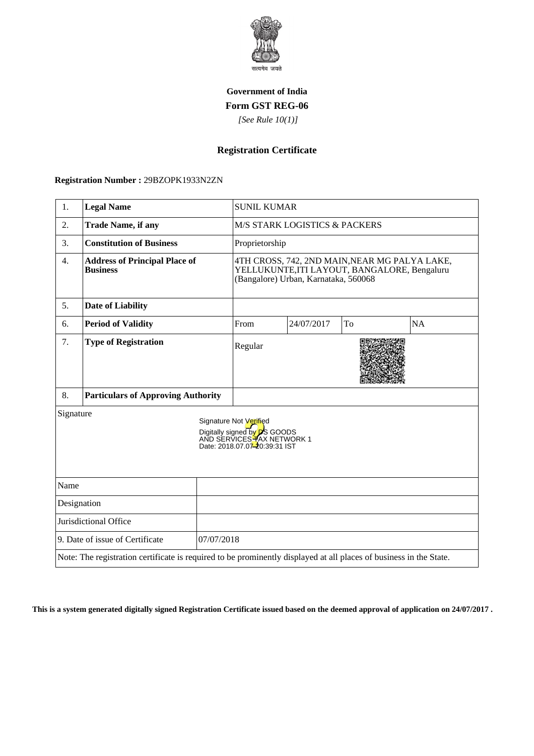

## **Government of India Form GST REG-06**

 *[See Rule 10(1)]*

# **Registration Certificate**

#### **Registration Number :** 29BZOPK1933N2ZN

| 1.                                                                                                                                         | <b>Legal Name</b>                                       |                | <b>SUNIL KUMAR</b>                                                                                                                    |            |    |           |
|--------------------------------------------------------------------------------------------------------------------------------------------|---------------------------------------------------------|----------------|---------------------------------------------------------------------------------------------------------------------------------------|------------|----|-----------|
| 2.                                                                                                                                         | <b>Trade Name, if any</b>                               |                | <b>M/S STARK LOGISTICS &amp; PACKERS</b>                                                                                              |            |    |           |
| 3.                                                                                                                                         | <b>Constitution of Business</b>                         | Proprietorship |                                                                                                                                       |            |    |           |
| 4.                                                                                                                                         | <b>Address of Principal Place of</b><br><b>Business</b> |                | 4TH CROSS, 742, 2ND MAIN, NEAR MG PALYA LAKE,<br>YELLUKUNTE, ITI LAYOUT, BANGALORE, Bengaluru<br>(Bangalore) Urban, Karnataka, 560068 |            |    |           |
| 5.                                                                                                                                         | <b>Date of Liability</b>                                |                |                                                                                                                                       |            |    |           |
| 6.                                                                                                                                         | <b>Period of Validity</b>                               |                | From                                                                                                                                  | 24/07/2017 | To | <b>NA</b> |
| 7.                                                                                                                                         | <b>Type of Registration</b>                             |                | Regular                                                                                                                               |            |    |           |
| 8.                                                                                                                                         | <b>Particulars of Approving Authority</b>               |                |                                                                                                                                       |            |    |           |
| Signature<br>Signature Not Verified<br>Digitally signed by <b>D</b> S GOODS<br>AND SERVICES TAX NETWORK 1<br>Date: 2018.07.07-20:39:31 IST |                                                         |                |                                                                                                                                       |            |    |           |
| Name                                                                                                                                       |                                                         |                |                                                                                                                                       |            |    |           |
| Designation                                                                                                                                |                                                         |                |                                                                                                                                       |            |    |           |
| Jurisdictional Office                                                                                                                      |                                                         |                |                                                                                                                                       |            |    |           |
| 9. Date of issue of Certificate<br>07/07/2018                                                                                              |                                                         |                |                                                                                                                                       |            |    |           |
| Note: The registration certificate is required to be prominently displayed at all places of business in the State.                         |                                                         |                |                                                                                                                                       |            |    |           |

**This is a system generated digitally signed Registration Certificate issued based on the deemed approval of application on 24/07/2017 .**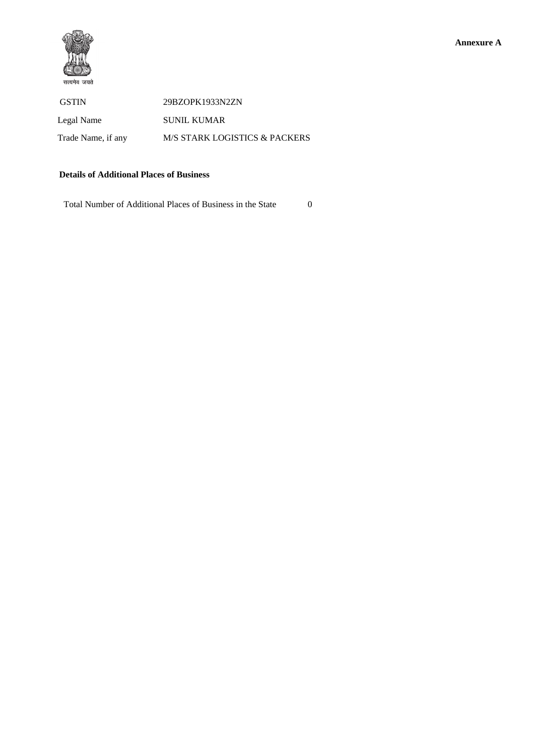

 GSTIN 29BZOPK1933N2ZN Legal Name SUNIL KUMAR Trade Name, if any M/S STARK LOGISTICS & PACKERS

#### **Details of Additional Places of Business**

Total Number of Additional Places of Business in the State 0